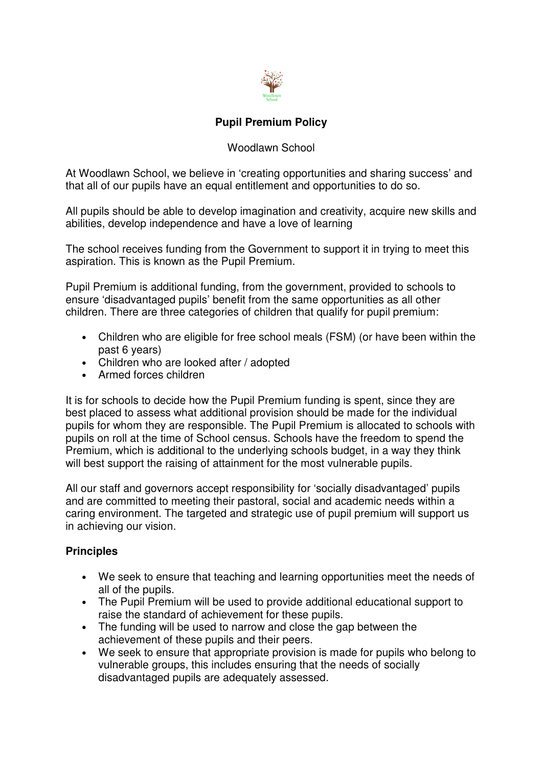

### **Pupil Premium Policy**

#### Woodlawn School

At Woodlawn School, we believe in 'creating opportunities and sharing success' and that all of our pupils have an equal entitlement and opportunities to do so.

All pupils should be able to develop imagination and creativity, acquire new skills and abilities, develop independence and have a love of learning

The school receives funding from the Government to support it in trying to meet this aspiration. This is known as the Pupil Premium.

Pupil Premium is additional funding, from the government, provided to schools to ensure 'disadvantaged pupils' benefit from the same opportunities as all other children. There are three categories of children that qualify for pupil premium:

- Children who are eligible for free school meals (FSM) (or have been within the past 6 years)
- Children who are looked after / adopted
- Armed forces children

It is for schools to decide how the Pupil Premium funding is spent, since they are best placed to assess what additional provision should be made for the individual pupils for whom they are responsible. The Pupil Premium is allocated to schools with pupils on roll at the time of School census. Schools have the freedom to spend the Premium, which is additional to the underlying schools budget, in a way they think will best support the raising of attainment for the most vulnerable pupils.

All our staff and governors accept responsibility for 'socially disadvantaged' pupils and are committed to meeting their pastoral, social and academic needs within a caring environment. The targeted and strategic use of pupil premium will support us in achieving our vision.

#### **Principles**

- We seek to ensure that teaching and learning opportunities meet the needs of all of the pupils.
- The Pupil Premium will be used to provide additional educational support to raise the standard of achievement for these pupils.
- The funding will be used to narrow and close the gap between the achievement of these pupils and their peers.
- We seek to ensure that appropriate provision is made for pupils who belong to vulnerable groups, this includes ensuring that the needs of socially disadvantaged pupils are adequately assessed.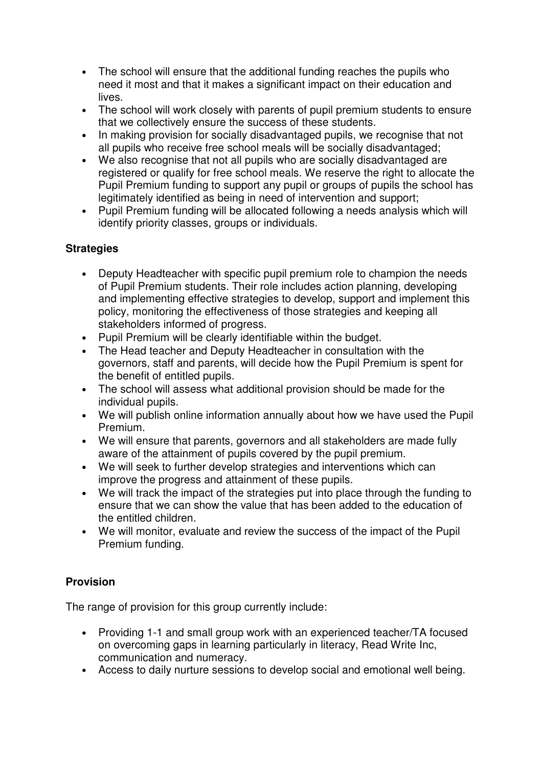- The school will ensure that the additional funding reaches the pupils who need it most and that it makes a significant impact on their education and lives.
- The school will work closely with parents of pupil premium students to ensure that we collectively ensure the success of these students.
- In making provision for socially disadvantaged pupils, we recognise that not all pupils who receive free school meals will be socially disadvantaged;
- We also recognise that not all pupils who are socially disadvantaged are registered or qualify for free school meals. We reserve the right to allocate the Pupil Premium funding to support any pupil or groups of pupils the school has legitimately identified as being in need of intervention and support;
- Pupil Premium funding will be allocated following a needs analysis which will identify priority classes, groups or individuals.

## **Strategies**

- Deputy Headteacher with specific pupil premium role to champion the needs of Pupil Premium students. Their role includes action planning, developing and implementing effective strategies to develop, support and implement this policy, monitoring the effectiveness of those strategies and keeping all stakeholders informed of progress.
- Pupil Premium will be clearly identifiable within the budget.
- The Head teacher and Deputy Headteacher in consultation with the governors, staff and parents, will decide how the Pupil Premium is spent for the benefit of entitled pupils.
- The school will assess what additional provision should be made for the individual pupils.
- We will publish online information annually about how we have used the Pupil Premium.
- We will ensure that parents, governors and all stakeholders are made fully aware of the attainment of pupils covered by the pupil premium.
- We will seek to further develop strategies and interventions which can improve the progress and attainment of these pupils.
- We will track the impact of the strategies put into place through the funding to ensure that we can show the value that has been added to the education of the entitled children.
- We will monitor, evaluate and review the success of the impact of the Pupil Premium funding.

### **Provision**

The range of provision for this group currently include:

- Providing 1-1 and small group work with an experienced teacher/TA focused on overcoming gaps in learning particularly in literacy, Read Write Inc, communication and numeracy.
- Access to daily nurture sessions to develop social and emotional well being.